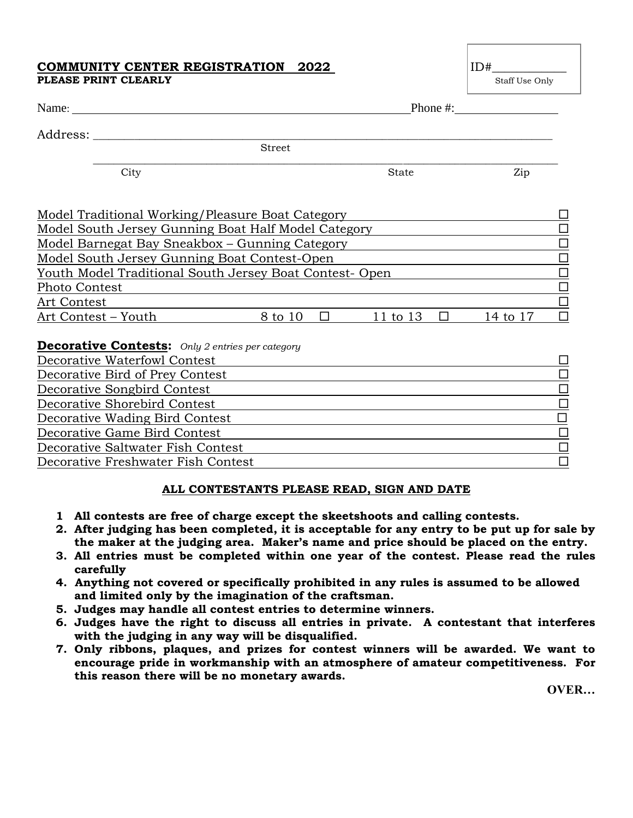## **COMMUNITY CENTER REGISTRATION 2022** ID **IDEX PLEASE PRINT CLEARLY** Staff Use Only

| $\sim$ | $\sim$ $\sim$ $\sim$ |  |
|--------|----------------------|--|

| Name: $\frac{1}{\sqrt{1-\frac{1}{2}}\cdot\frac{1}{2}}$  | Phone #:      |                   |              |        |          |                           |
|---------------------------------------------------------|---------------|-------------------|--------------|--------|----------|---------------------------|
| Address:                                                |               |                   |              |        |          |                           |
|                                                         | <b>Street</b> |                   |              |        |          |                           |
| City                                                    |               |                   | <b>State</b> |        | Zip      |                           |
| Model Traditional Working/Pleasure Boat Category        |               |                   |              |        |          |                           |
| Model South Jersey Gunning Boat Half Model Category     |               |                   |              |        |          | □                         |
| Model Barnegat Bay Sneakbox – Gunning Category          |               |                   |              |        |          | $\Box$                    |
| Model South Jersey Gunning Boat Contest-Open            |               |                   |              |        | $\Box$   |                           |
| Youth Model Traditional South Jersey Boat Contest- Open |               |                   |              |        |          | $\Box$                    |
| Photo Contest                                           |               |                   |              |        |          | $\frac{\square}{\square}$ |
| <b>Art Contest</b>                                      |               |                   |              |        |          |                           |
| Art Contest – Youth                                     | 8 to 10       | $\Box$ and $\Box$ | 11 to 13     | $\Box$ | 14 to 17 | □                         |
| <b>Decorative Contests:</b> Only 2 entries per category |               |                   |              |        |          |                           |
| Decorative Waterfowl Contest                            |               |                   |              |        |          | □                         |
| Decorative Bird of Prey Contest                         |               |                   |              |        |          | $\Box$                    |
| Decorative Songbird Contest                             |               |                   |              |        |          | $\overline{\Box}$         |
| Decorative Shorebird Contest                            |               |                   |              |        |          | $\Box$                    |
| Decorative Wading Bird Contest                          |               |                   |              |        |          | $\Box$                    |
| Decorative Game Bird Contest                            |               |                   |              |        |          | $\Box$                    |
| Decorative Saltwater Fish Contest                       |               |                   |              |        |          | $\Box$                    |

Decorative Freshwater Fish Contest

## **ALL CONTESTANTS PLEASE READ, SIGN AND DATE**

- **1 All contests are free of charge except the skeetshoots and calling contests.**
- **2. After judging has been completed, it is acceptable for any entry to be put up for sale by the maker at the judging area. Maker's name and price should be placed on the entry.**
- **3. All entries must be completed within one year of the contest. Please read the rules carefully**
- **4. Anything not covered or specifically prohibited in any rules is assumed to be allowed and limited only by the imagination of the craftsman.**
- **5. Judges may handle all contest entries to determine winners.**
- **6. Judges have the right to discuss all entries in private. A contestant that interferes with the judging in any way will be disqualified.**
- **7. Only ribbons, plaques, and prizes for contest winners will be awarded. We want to encourage pride in workmanship with an atmosphere of amateur competitiveness. For this reason there will be no monetary awards.**

**OVER…**